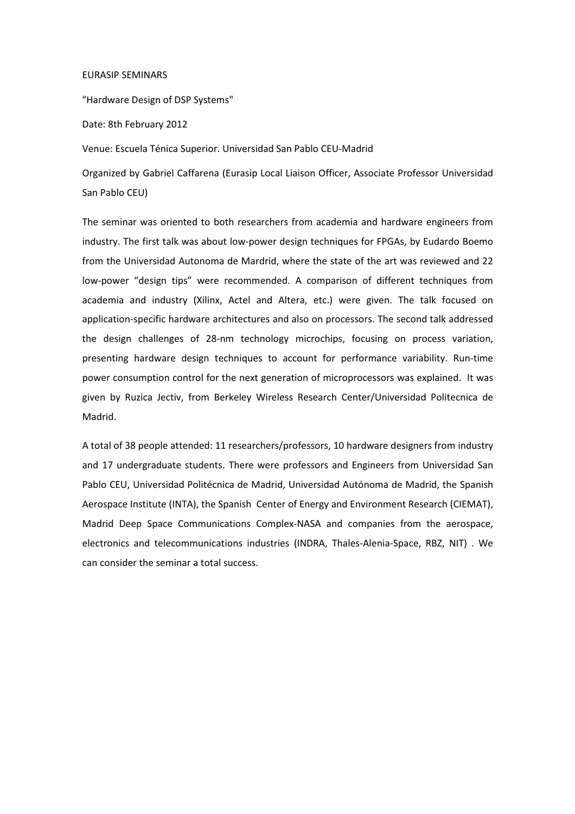## EURASIP SEMINARS

"Hardware Design of DSP Systems"

Date: 8th February 2012

Venue: Escuela Ténica Superior. Universidad San Pablo CEU-Madrid

Organized by Gabriel Caffarena (Eurasip Local Liaison Officer, Associate Professor Universidad San Pablo CEU)

The seminar was oriented to both researchers from academia and hardware engineers from industry. The first talk was about low-power design techniques for FPGAs, by Eudardo Boemo from the Universidad Autonoma de Mardrid, where the state of the art was reviewed and 22 low-power "design tips" were recommended. A comparison of different techniques from academia and industry (Xilinx, Actel and Altera, etc.) were given. The talk focused on application-specific hardware architectures and also on processors. The second talk addressed the design challenges of 28-nm technology microchips, focusing on process variation, presenting hardware design techniques to account for performance variability. Run-time power consumption control for the next generation of microprocessors was explained. It was given by Ruzica Jectiv, from Berkeley Wireless Research Center/Universidad Politecnica de Madrid.

A total of 38 people attended: 11 researchers/professors, 10 hardware designers from industry and 17 undergraduate students. There were professors and Engineers from Universidad San Pablo CEU, Universidad Politécnica de Madrid, Universidad Autónoma de Madrid, the Spanish Aerospace Institute (INTA), the Spanish Center of Energy and Environment Research (CIEMAT), Madrid Deep Space Communications Complex-NASA and companies from the aerospace, electronics and telecommunications industries (INDRA, Thales-Alenia-Space, RBZ, NIT) . We can consider the seminar a total success.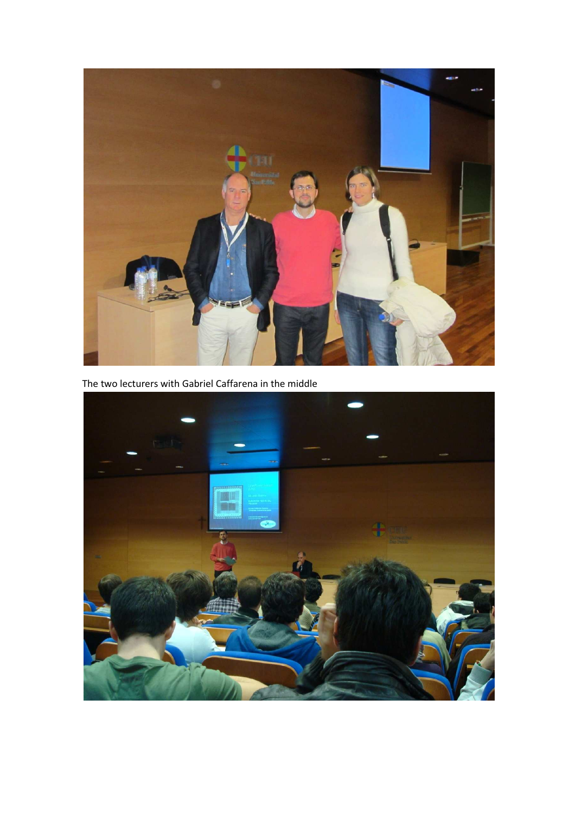

The two lecturers with Gabriel Caffarena in the middle